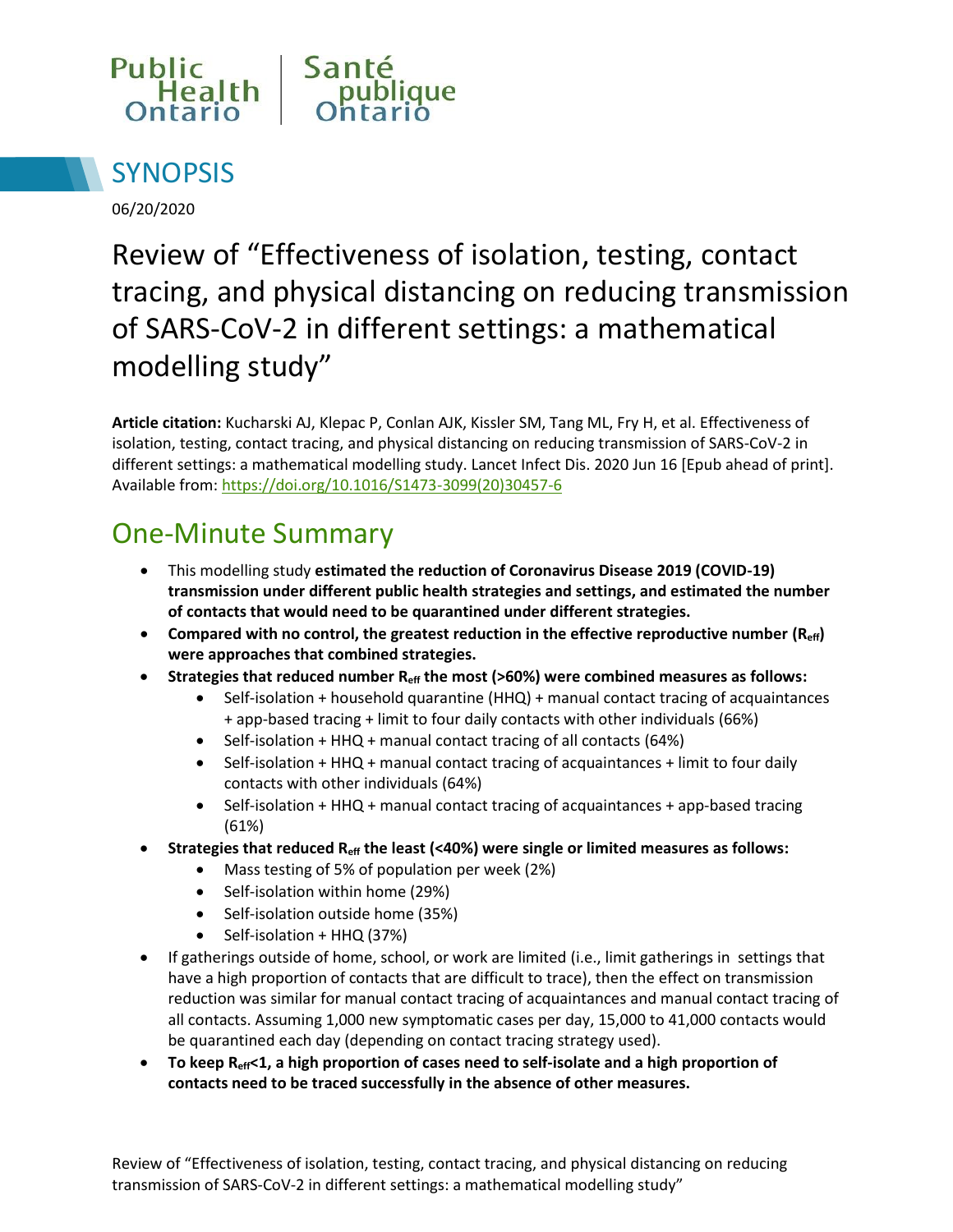



06/20/2020

# Review of "Effectiveness of isolation, testing, contact tracing, and physical distancing on reducing transmission of SARS-CoV-2 in different settings: a mathematical modelling study"

**Article citation:** Kucharski AJ, Klepac P, Conlan AJK, Kissler SM, Tang ML, Fry H, et al. Effectiveness of isolation, testing, contact tracing, and physical distancing on reducing transmission of SARS-CoV-2 in different settings: a mathematical modelling study. Lancet Infect Dis. 2020 Jun 16 [Epub ahead of print]. Available from[: https://doi.org/10.1016/S1473-3099\(20\)30457-6](https://doi.org/10.1016/S1473-3099(20)30457-6)

### One-Minute Summary

- This modelling study **estimated the reduction of Coronavirus Disease 2019 (COVID-19) transmission under different public health strategies and settings, and estimated the number of contacts that would need to be quarantined under different strategies.**
- **Compared with no control, the greatest reduction in the effective reproductive number (Reff) were approaches that combined strategies.**
- **Strategies that reduced number Reff the most (>60%) were combined measures as follows:** 
	- Self-isolation + household quarantine (HHQ) + manual contact tracing of acquaintances + app-based tracing + limit to four daily contacts with other individuals (66%)
	- $\bullet$  Self-isolation + HHQ + manual contact tracing of all contacts (64%)
	- Self-isolation + HHQ + manual contact tracing of acquaintances + limit to four daily contacts with other individuals (64%)
	- Self-isolation + HHQ + manual contact tracing of acquaintances + app-based tracing (61%)
- **Strategies that reduced Reff the least (<40%) were single or limited measures as follows:** 
	- Mass testing of 5% of population per week (2%)
	- Self-isolation within home (29%)
	- Self-isolation outside home (35%)
	- Self-isolation + HHQ (37%)
- If gatherings outside of home, school, or work are limited (i.e., limit gatherings in settings that have a high proportion of contacts that are difficult to trace), then the effect on transmission reduction was similar for manual contact tracing of acquaintances and manual contact tracing of all contacts. Assuming 1,000 new symptomatic cases per day, 15,000 to 41,000 contacts would be quarantined each day (depending on contact tracing strategy used).
- **To keep Reff<1, a high proportion of cases need to self-isolate and a high proportion of contacts need to be traced successfully in the absence of other measures.**

Review of "Effectiveness of isolation, testing, contact tracing, and physical distancing on reducing transmission of SARS-CoV-2 in different settings: a mathematical modelling study"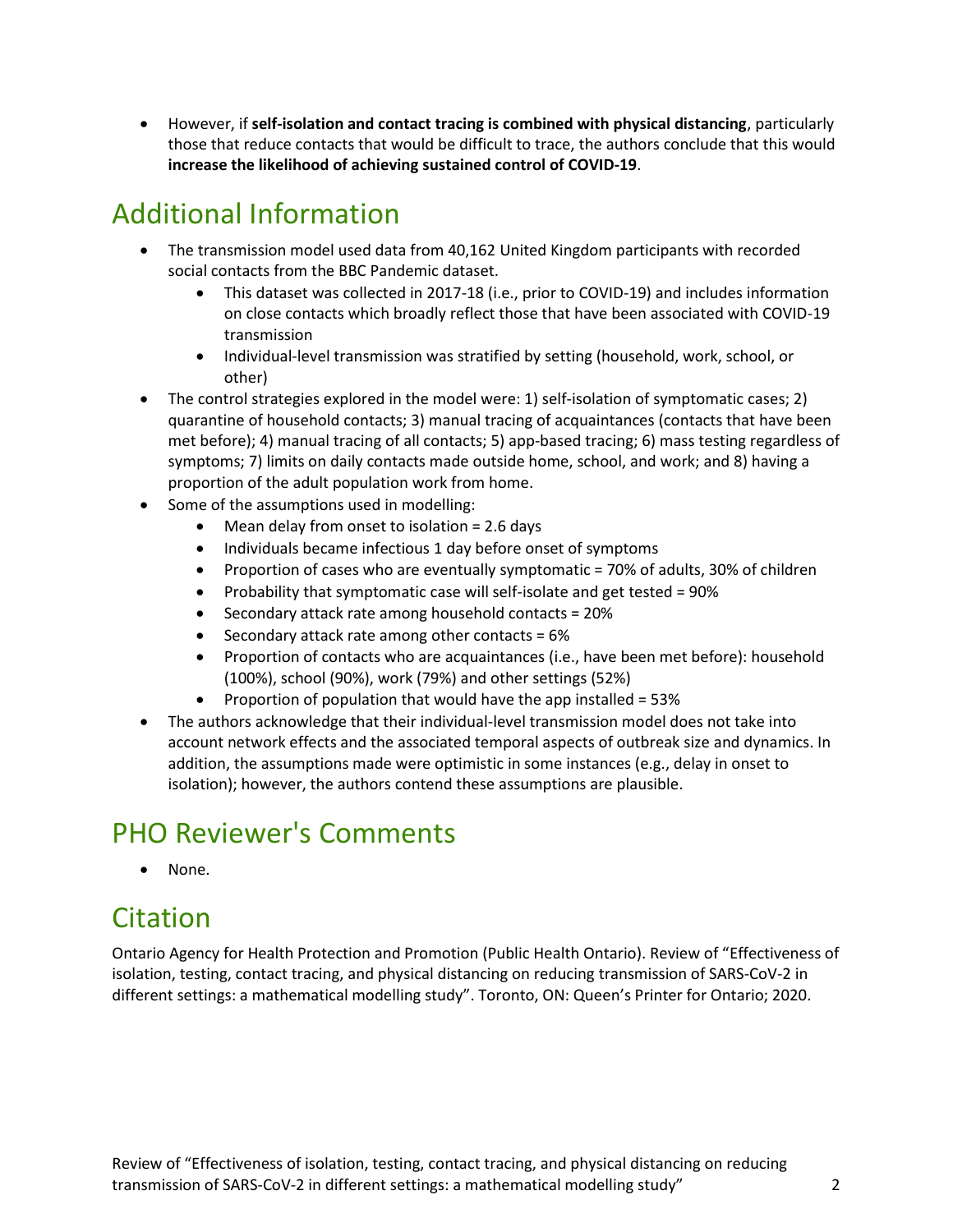However, if **self-isolation and contact tracing is combined with physical distancing**, particularly those that reduce contacts that would be difficult to trace, the authors conclude that this would **increase the likelihood of achieving sustained control of COVID-19**.

# Additional Information

- The transmission model used data from 40,162 United Kingdom participants with recorded social contacts from the BBC Pandemic dataset.
	- This dataset was collected in 2017-18 (i.e., prior to COVID-19) and includes information on close contacts which broadly reflect those that have been associated with COVID-19 transmission
	- Individual-level transmission was stratified by setting (household, work, school, or other)
- The control strategies explored in the model were: 1) self-isolation of symptomatic cases; 2) quarantine of household contacts; 3) manual tracing of acquaintances (contacts that have been met before); 4) manual tracing of all contacts; 5) app-based tracing; 6) mass testing regardless of symptoms; 7) limits on daily contacts made outside home, school, and work; and 8) having a proportion of the adult population work from home.
- Some of the assumptions used in modelling:
	- Mean delay from onset to isolation = 2.6 days
	- Individuals became infectious 1 day before onset of symptoms
	- Proportion of cases who are eventually symptomatic = 70% of adults, 30% of children
	- Probability that symptomatic case will self-isolate and get tested =  $90\%$
	- Secondary attack rate among household contacts = 20%
	- Secondary attack rate among other contacts =  $6\%$
	- Proportion of contacts who are acquaintances (i.e., have been met before): household (100%), school (90%), work (79%) and other settings (52%)
	- Proportion of population that would have the app installed =  $53\%$
- The authors acknowledge that their individual-level transmission model does not take into account network effects and the associated temporal aspects of outbreak size and dynamics. In addition, the assumptions made were optimistic in some instances (e.g., delay in onset to isolation); however, the authors contend these assumptions are plausible.

# PHO Reviewer's Comments

• None.

#### Citation

Ontario Agency for Health Protection and Promotion (Public Health Ontario). Review of "Effectiveness of isolation, testing, contact tracing, and physical distancing on reducing transmission of SARS-CoV-2 in different settings: a mathematical modelling study". Toronto, ON: Queen's Printer for Ontario; 2020.